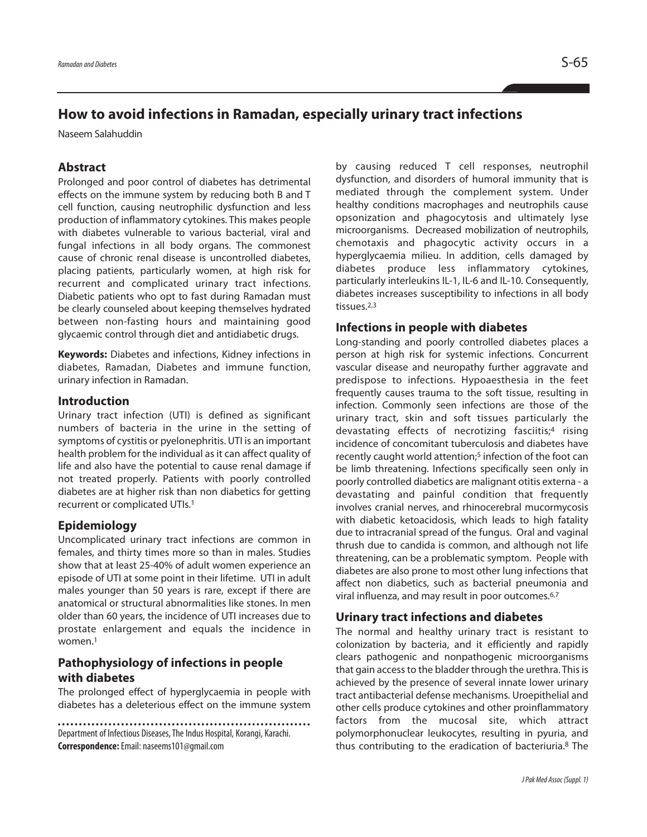# **How to avoid infections in Ramadan, especially urinary tract infections**

Naseem Salahuddin

### **Abstract**

Prolonged and poor control of diabetes has detrimental effects on the immune system by reducing both B and T cell function, causing neutrophilic dysfunction and less production of inflammatory cytokines. This makes people with diabetes vulnerable to various bacterial, viral and fungal infections in all body organs. The commonest cause of chronic renal disease is uncontrolled diabetes, placing patients, particularly women, at high risk for recurrent and complicated urinary tract infections. Diabetic patients who opt to fast during Ramadan must be clearly counseled about keeping themselves hydrated between non-fasting hours and maintaining good glycaemic control through diet and antidiabetic drugs.

**Keywords:** Diabetes and infections, Kidney infections in diabetes, Ramadan, Diabetes and immune function, urinary infection in Ramadan.

#### **Introduction**

Urinary tract infection (UTI) is defined as significant numbers of bacteria in the urine in the setting of symptoms of cystitis or pyelonephritis. UTI is an important health problem for the individual as it can affect quality of life and also have the potential to cause renal damage if not treated properly. Patients with poorly controlled diabetes are at higher risk than non diabetics for getting recurrent or complicated UTIs. 1

### **Epidemiology**

Uncomplicated urinary tract infections are common in females, and thirty times more so than in males. Studies show that at least 25-40% of adult women experience an episode of UTI at some point in their lifetime. UTI in adult males younger than 50 years is rare, except if there are anatomical or structural abnormalities like stones. In men older than 60 years, the incidence of UTI increases due to prostate enlargement and equals the incidence in women. 1

## **Pathophysiology of infections in people with diabetes**

The prolonged effect of hyperglycaemia in people with diabetes has a deleterious effect on the immune system

Department of Infectious Diseases, The Indus Hospital, Korangi, Karachi. **Correspondence:**Email: naseems101@gmail.com

by causing reduced T cell responses, neutrophil dysfunction, and disorders of humoral immunity that is mediated through the complement system. Under healthy conditions macrophages and neutrophils cause opsonization and phagocytosis and ultimately lyse microorganisms. Decreased mobilization of neutrophils, chemotaxis and phagocytic activity occurs in a hyperglycaemia milieu. In addition, cells damaged by diabetes produce less inflammatory cytokines, particularly interleukins IL-1, IL-6 and IL-10. Consequently, diabetes increases susceptibility to infections in all body tissues. 2,3

#### **Infections in people with diabetes**

Long-standing and poorly controlled diabetes places a person at high risk for systemic infections. Concurrent vascular disease and neuropathy further aggravate and predispose to infections. Hypoaesthesia in the feet frequently causes trauma to the soft tissue, resulting in infection. Commonly seen infections are those of the urinary tract, skin and soft tissues particularly the devastating effects of necrotizing fasciitis; <sup>4</sup> rising incidence of concomitant tuberculosis and diabetes have recently caught world attention; <sup>5</sup> infection of the foot can be limb threatening. Infections specifically seen only in poorly controlled diabetics are malignant otitis externa - a devastating and painful condition that frequently involves cranial nerves, and rhinocerebral mucormycosis with diabetic ketoacidosis, which leads to high fatality due to intracranial spread of the fungus. Oral and vaginal thrush due to candida is common, and although not life threatening, can be a problematic symptom. People with diabetes are also prone to most other lung infections that affect non diabetics, such as bacterial pneumonia and viral influenza, and may result in poor outcomes. 6,7

### **Urinary tract infections and diabetes**

The normal and healthy urinary tract is resistant to colonization by bacteria, and it efficiently and rapidly clears pathogenic and nonpathogenic microorganisms that gain access to the bladder through the urethra. This is achieved by the presence of several innate lower urinary tract antibacterial defense mechanisms. Uroepithelial and other cells produce cytokines and other proinflammatory factors from the mucosal site, which attract polymorphonuclear leukocytes, resulting in pyuria, and thus contributing to the eradication of bacteriuria. <sup>8</sup> The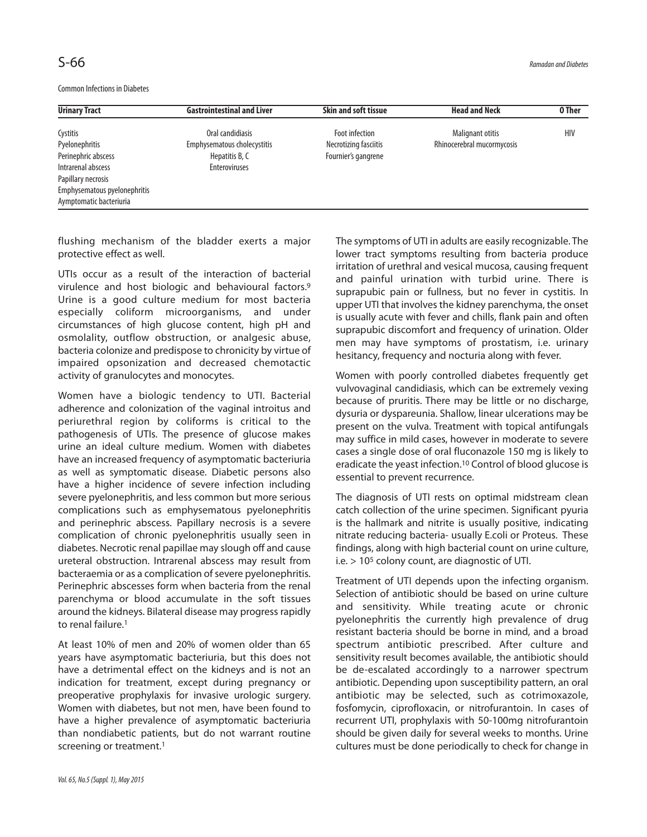| <b>Urinary Tract</b>         | <b>Gastrointestinal and Liver</b> | <b>Skin and soft tissue</b> | <b>Head and Neck</b>       | 0 Ther |
|------------------------------|-----------------------------------|-----------------------------|----------------------------|--------|
| Cystitis                     | Oral candidiasis                  | Foot infection              | Malignant otitis           | HIV    |
| Pyelonephritis               | Emphysematous cholecystitis       | Necrotizing fasciitis       | Rhinocerebral mucormycosis |        |
| Perinephric abscess          | Hepatitis B, C                    | Fournier's gangrene         |                            |        |
| Intrarenal abscess           | <b>Enteroviruses</b>              |                             |                            |        |
| Papillary necrosis           |                                   |                             |                            |        |
| Emphysematous pyelonephritis |                                   |                             |                            |        |
| Aymptomatic bacteriuria      |                                   |                             |                            |        |

flushing mechanism of the bladder exerts a major protective effect as well.

UTIs occur as a result of the interaction of bacterial virulence and host biologic and behavioural factors. 9 Urine is a good culture medium for most bacteria especially coliform microorganisms, and under circumstances of high glucose content, high pH and osmolality, outflow obstruction, or analgesic abuse, bacteria colonize and predispose to chronicity by virtue of impaired opsonization and decreased chemotactic activity of granulocytes and monocytes.

Women have a biologic tendency to UTI. Bacterial adherence and colonization of the vaginal introitus and periurethral region by coliforms is critical to the pathogenesis of UTIs. The presence of glucose makes urine an ideal culture medium. Women with diabetes have an increased frequency of asymptomatic bacteriuria as well as symptomatic disease. Diabetic persons also have a higher incidence of severe infection including severe pyelonephritis, and less common but more serious complications such as emphysematous pyelonephritis and perinephric abscess. Papillary necrosis is a severe complication of chronic pyelonephritis usually seen in diabetes. Necrotic renal papillae may slough off and cause ureteral obstruction. Intrarenal abscess may result from bacteraemia or as a complication of severe pyelonephritis. Perinephric abscesses form when bacteria from the renal parenchyma or blood accumulate in the soft tissues around the kidneys. Bilateral disease may progress rapidly to renal failure. 1

At least 10% of men and 20% of women older than 65 years have asymptomatic bacteriuria, but this does not have a detrimental effect on the kidneys and is not an indication for treatment, except during pregnancy or preoperative prophylaxis for invasive urologic surgery. Women with diabetes, but not men, have been found to have a higher prevalence of asymptomatic bacteriuria than nondiabetic patients, but do not warrant routine screening or treatment. 1

The symptoms of UTI in adults are easily recognizable. The lower tract symptoms resulting from bacteria produce irritation of urethral and vesical mucosa, causing frequent and painful urination with turbid urine. There is suprapubic pain or fullness, but no fever in cystitis. In upper UTI that involves the kidney parenchyma, the onset is usually acute with fever and chills, flank pain and often suprapubic discomfort and frequency of urination. Older men may have symptoms of prostatism, i.e. urinary hesitancy, frequency and nocturia along with fever.

Women with poorly controlled diabetes frequently get vulvovaginal candidiasis, which can be extremely vexing because of pruritis. There may be little or no discharge, dysuria or dyspareunia. Shallow, linear ulcerations may be present on the vulva. Treatment with topical antifungals may suffice in mild cases, however in moderate to severe cases a single dose of oral fluconazole 150 mg is likely to eradicate the yeast infection. <sup>10</sup> Control of blood glucose is essential to prevent recurrence.

The diagnosis of UTI rests on optimal midstream clean catch collection of the urine specimen. Significant pyuria is the hallmark and nitrite is usually positive, indicating nitrate reducing bacteria- usually E.coli or Proteus. These findings, along with high bacterial count on urine culture, i.e.  $> 10<sup>5</sup>$  colony count, are diagnostic of UTI.

Treatment of UTI depends upon the infecting organism. Selection of antibiotic should be based on urine culture and sensitivity. While treating acute or chronic pyelonephritis the currently high prevalence of drug resistant bacteria should be borne in mind, and a broad spectrum antibiotic prescribed. After culture and sensitivity result becomes available, the antibiotic should be de-escalated accordingly to a narrower spectrum antibiotic. Depending upon susceptibility pattern, an oral antibiotic may be selected, such as cotrimoxazole, fosfomycin, ciprofloxacin, or nitrofurantoin. In cases of recurrent UTI, prophylaxis with 50-100mg nitrofurantoin should be given daily for several weeks to months. Urine cultures must be done periodically to check for change in